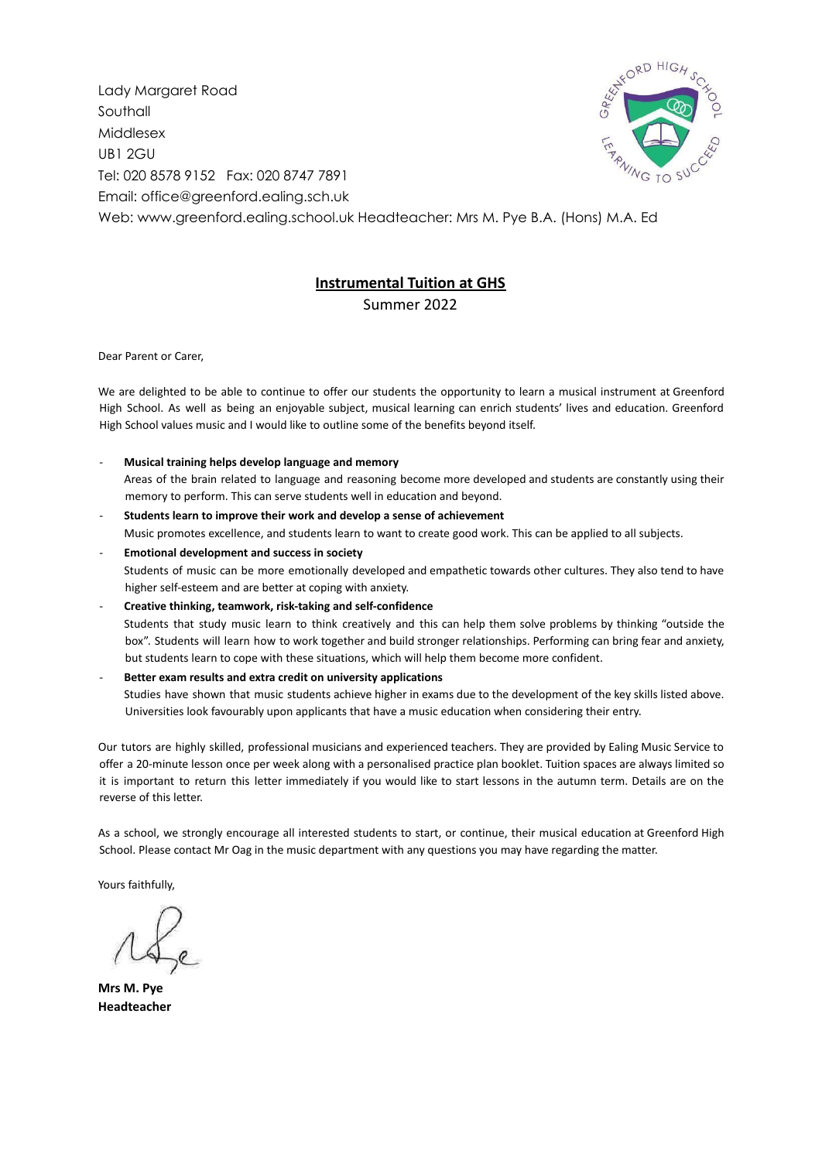Lady Margaret Road **Southall** Middlesex UB1 2GU Tel: 020 8578 9152 Fax: 020 8747 7891 Email: office@greenford.ealing.sch.uk Web: www.greenford.ealing.school.uk Headteacher: Mrs M. Pye B.A. (Hons) M.A. Ed

# **Instrumental Tuition at GHS**

Summer 2022

Dear Parent or Carer,

We are delighted to be able to continue to offer our students the opportunity to learn a musical instrument at Greenford High School. As well as being an enjoyable subject, musical learning can enrich students' lives and education. Greenford High School values music and I would like to outline some of the benefits beyond itself.

- **Musical training helps develop language and memory** Areas of the brain related to language and reasoning become more developed and students are constantly using their memory to perform. This can serve students well in education and beyond.
- **Students learn to improve their work and develop a sense of achievement** Music promotes excellence, and students learn to want to create good work. This can be applied to all subjects.
- **Emotional development and success in society** Students of music can be more emotionally developed and empathetic towards other cultures. They also tend to have higher self-esteem and are better at coping with anxiety.
	- **Creative thinking, teamwork, risk-taking and self-confidence** Students that study music learn to think creatively and this can help them solve problems by thinking "outside the box". Students will learn how to work together and build stronger relationships. Performing can bring fear and anxiety, but students learn to cope with these situations, which will help them become more confident.

## - **Better exam results and extra credit on university applications**

Studies have shown that music students achieve higher in exams due to the development of the key skills listed above. Universities look favourably upon applicants that have a music education when considering their entry.

Our tutors are highly skilled, professional musicians and experienced teachers. They are provided by Ealing Music Service to offer a 20-minute lesson once per week along with a personalised practice plan booklet. Tuition spaces are always limited so it is important to return this letter immediately if you would like to start lessons in the autumn term. Details are on the reverse of this letter.

As a school, we strongly encourage all interested students to start, or continue, their musical education at Greenford High School. Please contact Mr Oag in the music department with any questions you may have regarding the matter.

Yours faithfully,

**Mrs M. Pye Headteacher**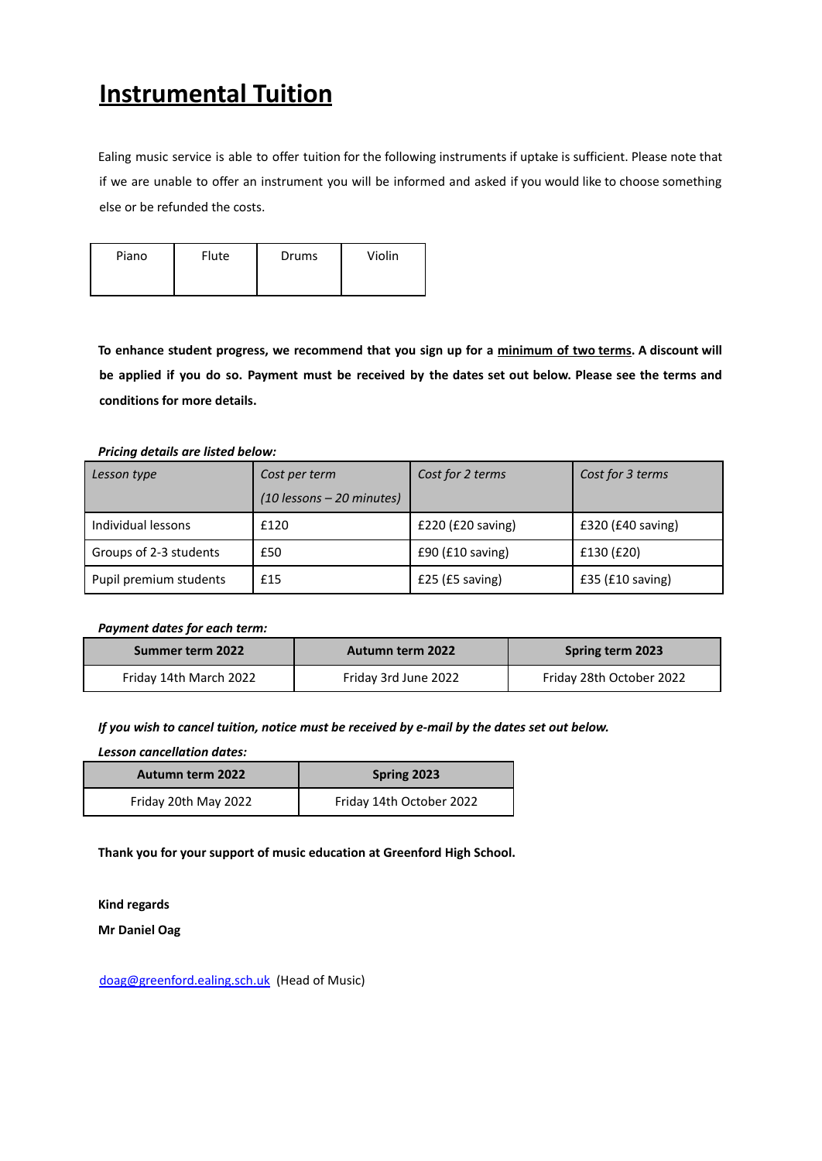# **Instrumental Tuition**

Ealing music service is able to offer tuition for the following instruments if uptake is sufficient. Please note that if we are unable to offer an instrument you will be informed and asked if you would like to choose something else or be refunded the costs.

| Piano | Flute | Drums | Violin |
|-------|-------|-------|--------|
|       |       |       |        |

To enhance student progress, we recommend that you sign up for a minimum of two terms. A discount will be applied if you do so. Payment must be received by the dates set out below. Please see the terms and **conditions for more details.**

# *Pricing details are listed below:*

| Lesson type            | Cost per term               | Cost for 2 terms    | Cost for 3 terms           |
|------------------------|-----------------------------|---------------------|----------------------------|
|                        | $(10$ lessons - 20 minutes) |                     |                            |
| Individual lessons     | £120                        | $£220$ (£20 saving) | $£320(E40 \text{ saving})$ |
| Groups of 2-3 students | £50                         | $£90$ (£10 saving)  | £130(E20)                  |
| Pupil premium students | £15                         | $£25$ (£5 saving)   | $£35$ ( $£10$ saving)      |

# *Payment dates for each term:*

| Summer term 2022       | <b>Autumn term 2022</b> | Spring term 2023         |
|------------------------|-------------------------|--------------------------|
| Friday 14th March 2022 | Friday 3rd June 2022    | Friday 28th October 2022 |

# *If you wish to cancel tuition, notice must be received by e-mail by the dates set out below.*

## *Lesson cancellation dates:*

| <b>Autumn term 2022</b> | Spring 2023              |  |
|-------------------------|--------------------------|--|
| Friday 20th May 2022    | Friday 14th October 2022 |  |

**Thank you for your support of music education at Greenford High School.**

**Kind regards**

**Mr Daniel Oag**

doag@greenford.ealing.sch.uk (Head of Music)